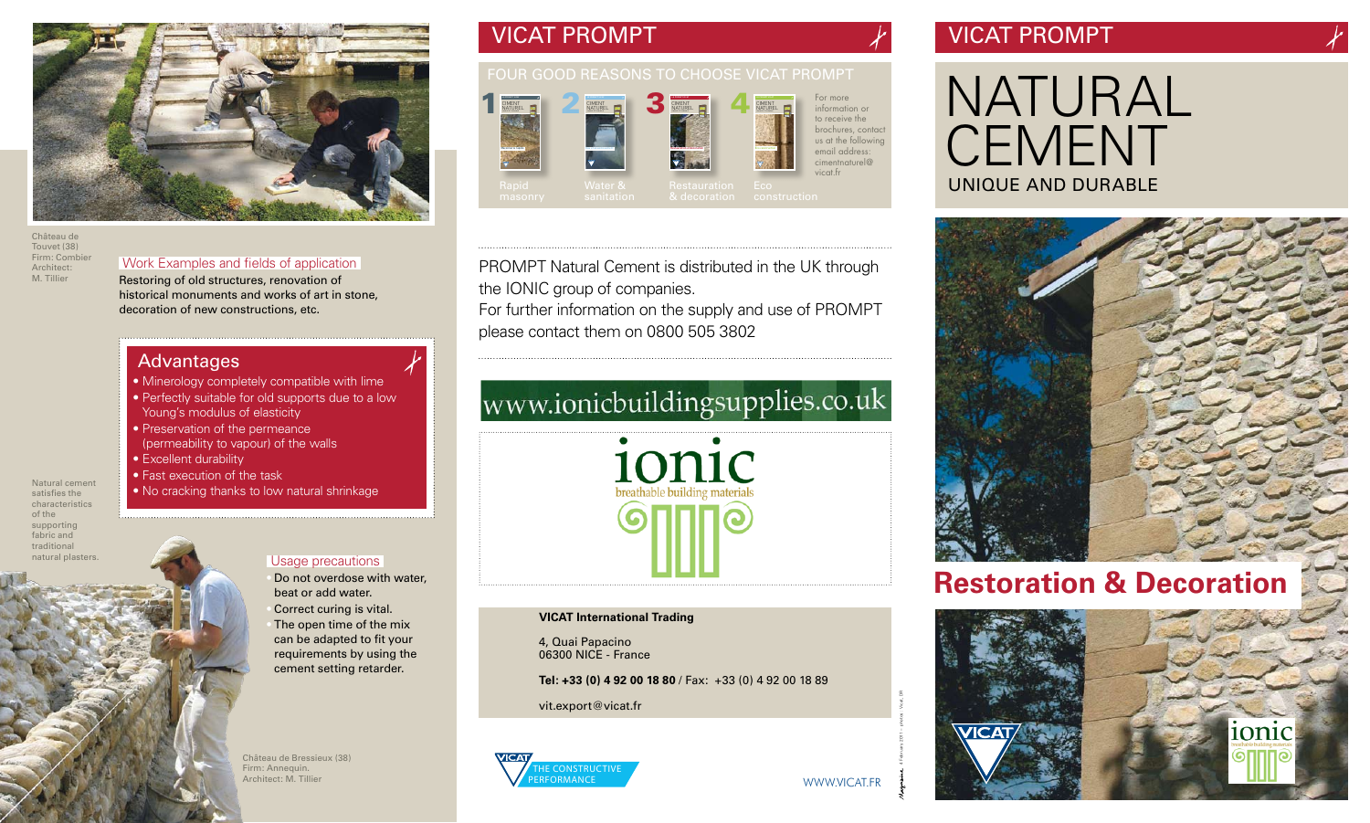Natural cement satisfies the characteristics of the supporting fabric and traditional natural plasters.

### Advantages

- Minerology completely compatible with lime
- Perfectly suitable for old supports due to a low Young's modulus of elasticity
- Preservation of the permeance (permeability to vapour) of the walls
- Excellent durability
- Fast execution of the task
- No cracking thanks to low natural shrinkage

# VICAT PROMPT

# NATURAL CEMENT UNIQUE AND DURABLE



# **Restoration & Decoration**





## FOUR GOOD REASONS TO CHOOSE VICAT PROMPT

Water &

# VICAT PROMPT

### Usage precautions

- Do not overdose with water, beat or add water.
- Correct curing is vital.
- The open time of the mix can be adapted to fit your requirements by using the cement setting retarder.

# Work Examples and fields of application

Restoring of old structures, renovation of historical monuments and works of art in stone, decoration of new constructions, etc.



2





Château de Touvet (38) Firm: Combier Architect: M. Tillier



Château de Bressieux (38) Firm: Annequin. Architect: M. Tillier

4 February 2011 – photos : Vicat, DR







PROMPT Natural Cement is distributed in the UK through the IONIC group of companies.

For further information on the supply and use of PROMPT please contact them on 0800 505 3802

# www.ionicbuildingsupplies.co.uk



#### **VICAT International Trading**

4, Quai Papacino 06300 NICE - France

**Tel: +33 (0) 4 92 00 18 80** / Fax: +33 (0) 4 92 00 18 89

vit.export@vicat.fr